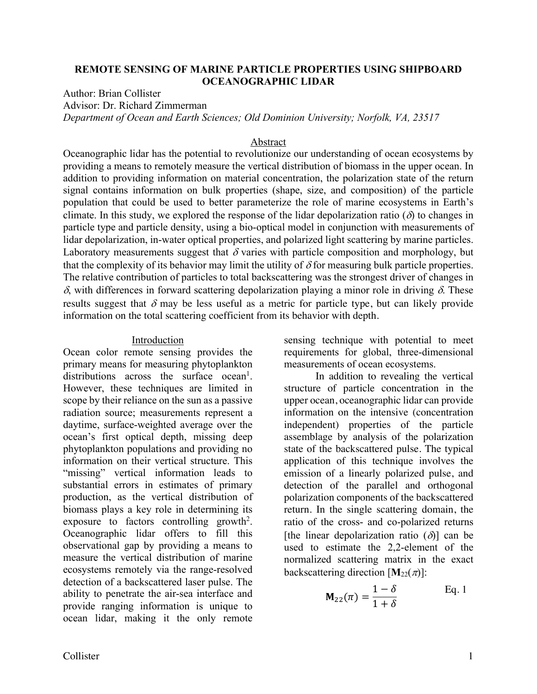### **REMOTE SENSING OF MARINE PARTICLE PROPERTIES USING SHIPBOARD OCEANOGRAPHIC LIDAR**

Author: Brian Collister

Advisor: Dr. Richard Zimmerman

*Department of Ocean and Earth Sciences; Old Dominion University; Norfolk, VA, 23517*

### Abstract

Oceanographic lidar has the potential to revolutionize our understanding of ocean ecosystems by providing a means to remotely measure the vertical distribution of biomass in the upper ocean. In addition to providing information on material concentration, the polarization state of the return signal contains information on bulk properties (shape, size, and composition) of the particle population that could be used to better parameterize the role of marine ecosystems in Earth's climate. In this study, we explored the response of the lidar depolarization ratio ( $\delta$ ) to changes in particle type and particle density, using a bio-optical model in conjunction with measurements of lidar depolarization, in-water optical properties, and polarized light scattering by marine particles. Laboratory measurements suggest that  $\delta$  varies with particle composition and morphology, but that the complexity of its behavior may limit the utility of  $\delta$  for measuring bulk particle properties. The relative contribution of particles to total backscattering was the strongest driver of changes in  $\delta$ , with differences in forward scattering depolarization playing a minor role in driving  $\delta$ . These results suggest that  $\delta$  may be less useful as a metric for particle type, but can likely provide information on the total scattering coefficient from its behavior with depth.

#### Introduction

Ocean color remote sensing provides the primary means for measuring phytoplankton distributions across the surface ocean<sup>1</sup>. However, these techniques are limited in scope by their reliance on the sun as a passive radiation source; measurements represent a daytime, surface-weighted average over the ocean's first optical depth, missing deep phytoplankton populations and providing no information on their vertical structure. This "missing" vertical information leads to substantial errors in estimates of primary production, as the vertical distribution of biomass plays a key role in determining its exposure to factors controlling growth<sup>2</sup>. Oceanographic lidar offers to fill this observational gap by providing a means to measure the vertical distribution of marine ecosystems remotely via the range-resolved detection of a backscattered laser pulse. The ability to penetrate the air-sea interface and provide ranging information is unique to ocean lidar, making it the only remote

sensing technique with potential to meet requirements for global, three-dimensional measurements of ocean ecosystems.

In addition to revealing the vertical structure of particle concentration in the upper ocean, oceanographic lidar can provide information on the intensive (concentration independent) properties of the particle assemblage by analysis of the polarization state of the backscattered pulse. The typical application of this technique involves the emission of a linearly polarized pulse, and detection of the parallel and orthogonal polarization components of the backscattered return. In the single scattering domain, the ratio of the cross- and co-polarized returns [the linear depolarization ratio  $(\delta)$ ] can be used to estimate the 2,2-element of the normalized scattering matrix in the exact backscattering direction  $[M_{22}(\pi)]$ :

$$
\mathbf{M}_{22}(\pi) = \frac{1-\delta}{1+\delta} \quad \text{Eq. 1}
$$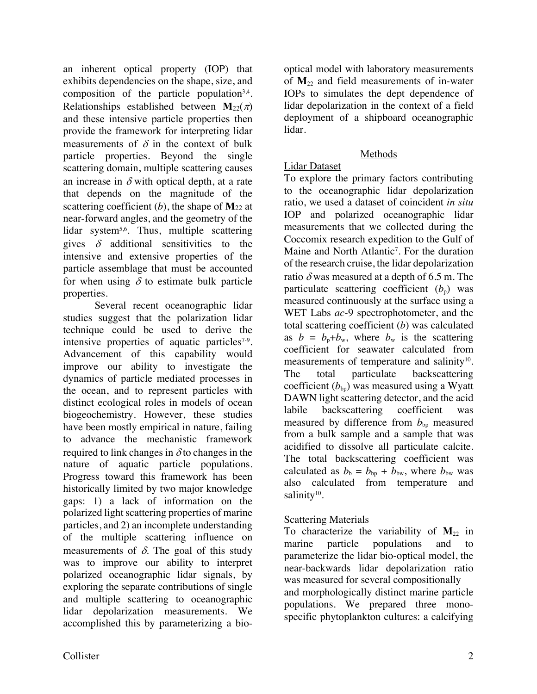an inherent optical property (IOP) that exhibits dependencies on the shape, size, and composition of the particle population<sup>3,4</sup>. Relationships established between  $M_{22}(\pi)$ and these intensive particle properties then provide the framework for interpreting lidar measurements of  $\delta$  in the context of bulk particle properties. Beyond the single scattering domain, multiple scattering causes an increase in  $\delta$  with optical depth, at a rate that depends on the magnitude of the scattering coefficient  $(b)$ , the shape of  $M_{22}$  at near-forward angles, and the geometry of the lidar system<sup>5,6</sup>. Thus, multiple scattering gives  $\delta$  additional sensitivities to the intensive and extensive properties of the particle assemblage that must be accounted for when using  $\delta$  to estimate bulk particle properties.

Several recent oceanographic lidar studies suggest that the polarization lidar technique could be used to derive the intensive properties of aquatic particles<sup>7-9</sup>. Advancement of this capability would improve our ability to investigate the dynamics of particle mediated processes in the ocean, and to represent particles with distinct ecological roles in models of ocean biogeochemistry. However, these studies have been mostly empirical in nature, failing to advance the mechanistic framework required to link changes in  $\delta$  to changes in the nature of aquatic particle populations. Progress toward this framework has been historically limited by two major knowledge gaps: 1) a lack of information on the polarized light scattering properties of marine particles, and 2) an incomplete understanding of the multiple scattering influence on measurements of  $\delta$ . The goal of this study was to improve our ability to interpret polarized oceanographic lidar signals, by exploring the separate contributions of single and multiple scattering to oceanographic lidar depolarization measurements. We accomplished this by parameterizing a biooptical model with laboratory measurements of **M**<sup>22</sup> and field measurements of in-water IOPs to simulates the dept dependence of lidar depolarization in the context of a field deployment of a shipboard oceanographic lidar.

## Methods

# Lidar Dataset

To explore the primary factors contributing to the oceanographic lidar depolarization ratio, we used a dataset of coincident *in situ* IOP and polarized oceanographic lidar measurements that we collected during the Coccomix research expedition to the Gulf of Maine and North Atlantic<sup>7</sup>. For the duration of the research cruise, the lidar depolarization ratio  $\delta$  was measured at a depth of 6.5 m. The particulate scattering coefficient  $(b<sub>p</sub>)$  was measured continuously at the surface using a WET Labs *ac*-9 spectrophotometer, and the total scattering coefficient (*b*) was calculated as  $b = b_n + b_w$ , where  $b_w$  is the scattering coefficient for seawater calculated from measurements of temperature and salinity<sup>10</sup>. The total particulate backscattering coefficient  $(b_{b}$ <sup>b</sup> was measured using a Wyatt DAWN light scattering detector, and the acid labile backscattering coefficient was measured by difference from  $b_{bp}$  measured from a bulk sample and a sample that was acidified to dissolve all particulate calcite. The total backscattering coefficient was calculated as  $b_b = b_{bp} + b_{bw}$ , where  $b_{bw}$  was also calculated from temperature and salinity $10$ .

## Scattering Materials

To characterize the variability of  $M_{22}$  in marine particle populations and to parameterize the lidar bio-optical model, the near-backwards lidar depolarization ratio was measured for several compositionally and morphologically distinct marine particle populations. We prepared three monospecific phytoplankton cultures: a calcifying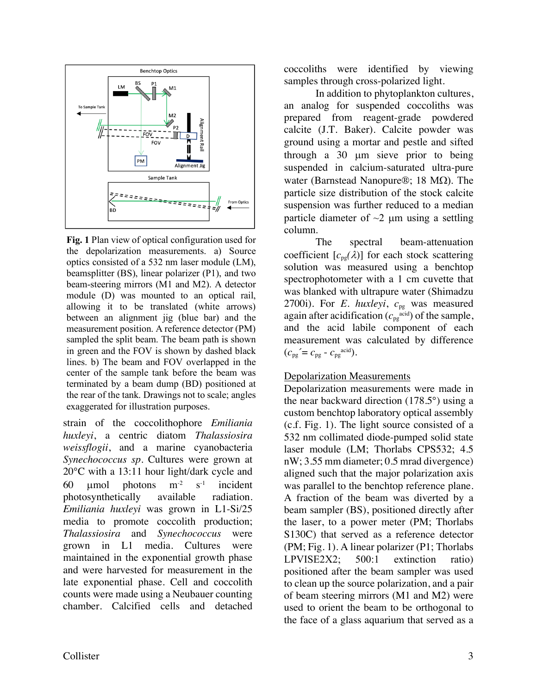

**Fig. 1** Plan view of optical configuration used for the depolarization measurements. a) Source optics consisted of a 532 nm laser module (LM), beamsplitter (BS), linear polarizer (P1), and two beam-steering mirrors (M1 and M2). A detector module (D) was mounted to an optical rail, allowing it to be translated (white arrows) between an alignment jig (blue bar) and the measurement position. A reference detector (PM) sampled the split beam. The beam path is shown in green and the FOV is shown by dashed black lines. b) The beam and FOV overlapped in the center of the sample tank before the beam was terminated by a beam dump (BD) positioned at the rear of the tank. Drawings not to scale; angles exaggerated for illustration purposes.

strain of the coccolithophore *Emiliania huxleyi*, a centric diatom *Thalassiosira weissflogii*, and a marine cyanobacteria *Synechococcus sp*. Cultures were grown at 20°C with a 13:11 hour light/dark cycle and 60  $\mu$ mol photons  $m<sup>-2</sup>$  s<sup>-1</sup> incident photosynthetically available radiation. *Emiliania huxleyi* was grown in L1-Si/25 media to promote coccolith production; *Thalassiosira* and *Synechococcus* were grown in L1 media. Cultures were maintained in the exponential growth phase and were harvested for measurement in the late exponential phase. Cell and coccolith counts were made using a Neubauer counting chamber. Calcified cells and detached

coccoliths were identified by viewing samples through cross-polarized light.

In addition to phytoplankton cultures, an analog for suspended coccoliths was prepared from reagent-grade powdered calcite (J.T. Baker). Calcite powder was ground using a mortar and pestle and sifted through a 30 µm sieve prior to being suspended in calcium-saturated ultra-pure water (Barnstead Nanopure®; 18 M $\Omega$ ). The particle size distribution of the stock calcite suspension was further reduced to a median particle diameter of  $\sim$ 2 µm using a settling column.

The spectral beam-attenuation coefficient  $[c_{pg}(\lambda)]$  for each stock scattering solution was measured using a benchtop spectrophotometer with a 1 cm cuvette that was blanked with ultrapure water (Shimadzu 2700i). For *E. huxleyi*,  $c_{pg}$  was measured again after acidification  $(c_{pg}^{\text{acid}})$  of the sample, and the acid labile component of each measurement was calculated by difference  $(c_{pg} = c_{pg} - c_{pg}^{\text{acid}}).$ 

## Depolarization Measurements

Depolarization measurements were made in the near backward direction (178.5°) using a custom benchtop laboratory optical assembly (c.f. Fig. 1). The light source consisted of a 532 nm collimated diode-pumped solid state laser module (LM; Thorlabs CPS532; 4.5 nW; 3.55 mm diameter; 0.5 mrad divergence) aligned such that the major polarization axis was parallel to the benchtop reference plane. A fraction of the beam was diverted by a beam sampler (BS), positioned directly after the laser, to a power meter (PM; Thorlabs S130C) that served as a reference detector (PM; Fig. 1). A linear polarizer (P1; Thorlabs LPVISE2X2; 500:1 extinction ratio) positioned after the beam sampler was used to clean up the source polarization, and a pair of beam steering mirrors (M1 and M2) were used to orient the beam to be orthogonal to the face of a glass aquarium that served as a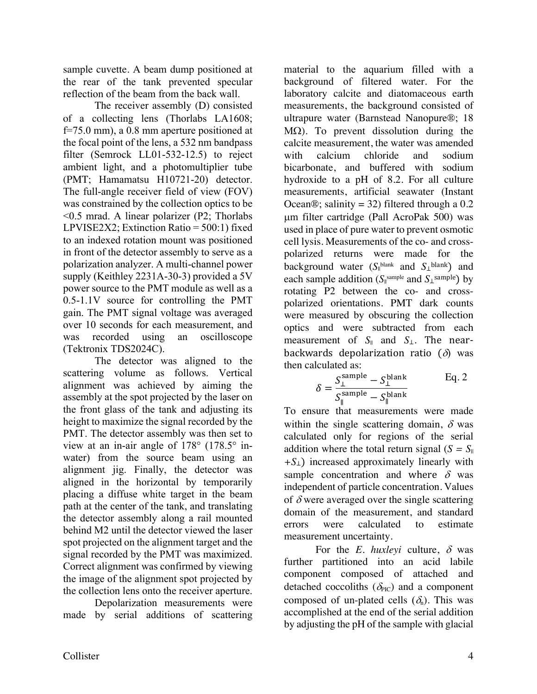sample cuvette. A beam dump positioned at the rear of the tank prevented specular reflection of the beam from the back wall.

The receiver assembly (D) consisted of a collecting lens (Thorlabs LA1608; f=75.0 mm), a 0.8 mm aperture positioned at the focal point of the lens, a 532 nm bandpass filter (Semrock LL01-532-12.5) to reject ambient light, and a photomultiplier tube (PMT; Hamamatsu H10721-20) detector. The full-angle receiver field of view (FOV) was constrained by the collection optics to be <0.5 mrad. A linear polarizer (P2; Thorlabs LPVISE2X2; Extinction Ratio = 500:1) fixed to an indexed rotation mount was positioned in front of the detector assembly to serve as a polarization analyzer. A multi-channel power supply (Keithley 2231A-30-3) provided a 5V power source to the PMT module as well as a 0.5-1.1V source for controlling the PMT gain. The PMT signal voltage was averaged over 10 seconds for each measurement, and was recorded using an oscilloscope (Tektronix TDS2024C).

The detector was aligned to the scattering volume as follows. Vertical alignment was achieved by aiming the assembly at the spot projected by the laser on the front glass of the tank and adjusting its height to maximize the signal recorded by the PMT. The detector assembly was then set to view at an in-air angle of 178° (178.5° inwater) from the source beam using an alignment jig. Finally, the detector was aligned in the horizontal by temporarily placing a diffuse white target in the beam path at the center of the tank, and translating the detector assembly along a rail mounted behind M2 until the detector viewed the laser spot projected on the alignment target and the signal recorded by the PMT was maximized. Correct alignment was confirmed by viewing the image of the alignment spot projected by the collection lens onto the receiver aperture.

Depolarization measurements were made by serial additions of scattering

material to the aquarium filled with a background of filtered water. For the laboratory calcite and diatomaceous earth measurements, the background consisted of ultrapure water (Barnstead Nanopure®; 18 M $\Omega$ ). To prevent dissolution during the calcite measurement, the water was amended with calcium chloride and sodium bicarbonate, and buffered with sodium hydroxide to a pH of 8.2. For all culture measurements, artificial seawater (Instant Ocean®; salinity = 32) filtered through a  $0.2$ µm filter cartridge (Pall AcroPak 500) was used in place of pure water to prevent osmotic cell lysis. Measurements of the co- and crosspolarized returns were made for the background water (S<sub>||</sub>blank and S<sub>⊥</sub>blank) and each sample addition ( $S_{\parallel}$ <sup>sample</sup> and  $S_{\perp}$ <sup>sample</sup>) by rotating P2 between the co- and crosspolarized orientations. PMT dark counts were measured by obscuring the collection optics and were subtracted from each measurement of  $S_{\parallel}$  and  $S_{\perp}$ . The nearbackwards depolarization ratio  $(\delta)$  was then calculated as:

$$
\delta = \frac{S_{\perp}^{\text{sample}} - S_{\perp}^{\text{blank}}}{S_{\parallel}^{\text{sample}} - S_{\parallel}^{\text{blank}}}
$$
 Eq. 2

To ensure that measurements were made within the single scattering domain,  $\delta$  was calculated only for regions of the serial addition where the total return signal  $(S = S_{\parallel})$ *+S*⊥) increased approximately linearly with sample concentration and where  $\delta$  was independent of particle concentration. Values of  $\delta$  were averaged over the single scattering domain of the measurement, and standard errors were calculated to estimate measurement uncertainty.

For the *E. huxleyi* culture,  $\delta$  was further partitioned into an acid labile component composed of attached and detached coccoliths ( $\delta_{\text{PL}}$ ) and a component composed of un-plated cells  $(\delta_n)$ . This was accomplished at the end of the serial addition by adjusting the pH of the sample with glacial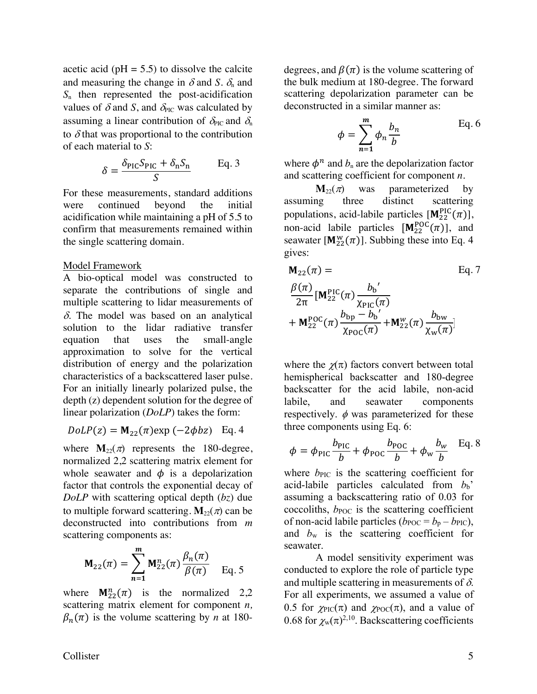acetic acid ( $pH = 5.5$ ) to dissolve the calcite and measuring the change in  $\delta$  and *S*.  $\delta_n$  and *S*<sup>n</sup> then represented the post-acidification values of  $\delta$  and  $S$ , and  $\delta_{\text{PIC}}$  was calculated by assuming a linear contribution of  $\delta_{\text{PC}}$  and  $\delta_{\text{n}}$ to  $\delta$  that was proportional to the contribution of each material to *S*:

$$
\delta = \frac{\delta_{\rm{PIC}} S_{\rm{PIC}} + \delta_{\rm n} S_{\rm n}}{S}
$$
 Eq. 3

For these measurements, standard additions were continued beyond the initial acidification while maintaining a pH of 5.5 to confirm that measurements remained within the single scattering domain.

#### Model Framework

A bio-optical model was constructed to separate the contributions of single and multiple scattering to lidar measurements of  $\delta$ . The model was based on an analytical solution to the lidar radiative transfer equation that uses the small-angle approximation to solve for the vertical distribution of energy and the polarization characteristics of a backscattered laser pulse. For an initially linearly polarized pulse, the depth (z) dependent solution for the degree of linear polarization (*DoLP*) takes the form:

$$
DoLP(z) = M_{22}(\pi) \exp(-2\phi bz) \text{ Eq. 4}
$$

where  $\mathbf{M}_{22}(\pi)$  represents the 180-degree, normalized 2,2 scattering matrix element for whole seawater and  $\phi$  is a depolarization factor that controls the exponential decay of *DoLP* with scattering optical depth (*bz*) due to multiple forward scattering.  $\mathbf{M}_{22}(\pi)$  can be deconstructed into contributions from *m* scattering components as:

$$
\mathbf{M}_{22}(\pi) = \sum_{n=1}^{m} \mathbf{M}_{22}^{n}(\pi) \frac{\beta_n(\pi)}{\beta(\pi)} \quad \text{Eq. 5}
$$

where  $M_{22}^n(\pi)$  is the normalized 2,2 scattering matrix element for component *n,*  $\beta_n(\pi)$  is the volume scattering by *n* at 180degrees, and  $\beta(\pi)$  is the volume scattering of the bulk medium at 180-degree. The forward scattering depolarization parameter can be deconstructed in a similar manner as:

$$
\phi = \sum_{n=1}^{m} \phi_n \frac{b_n}{b} \qquad \text{Eq. 6}
$$

where  $\phi^n$  and  $b_n$  are the depolarization factor and scattering coefficient for component *n*.

 $M_{22}(\pi)$  was parameterized by assuming three distinct scattering populations, acid-labile particles  $[M_{22}^{PIC}(\pi)],$ non-acid labile particles  $[M_{22}^{POC}(\pi)]$ , and seawater  $[M_{22}^W(\pi)]$ . Subbing these into Eq. 4 gives:

$$
M_{22}(\pi) = \text{Eq.7}
$$
  
\n
$$
\frac{\beta(\pi)}{2\pi} [M_{22}^{\text{PlC}}(\pi) \frac{b_{b}^{'}}{\chi_{\text{PlC}}(\pi)} + M_{22}^{\text{PlC}}(\pi) \frac{b_{\text{bp}} - b_{b}^{'}}{\chi_{\text{POC}}(\pi)} + M_{22}^{w}(\pi) \frac{b_{\text{bw}}}{\chi_{\text{w}}(\pi)}
$$

where the  $\chi(\pi)$  factors convert between total hemispherical backscatter and 180-degree backscatter for the acid labile, non-acid labile, and seawater components respectively.  $\phi$  was parameterized for these three components using Eq. 6:

$$
\phi = \phi_{\text{PIC}} \frac{b_{\text{PIC}}}{b} + \phi_{\text{POC}} \frac{b_{\text{POC}}}{b} + \phi_{\text{w}} \frac{b_{\text{w}}}{b} \quad \text{Eq. 8}
$$

where *b*<sub>PIC</sub> is the scattering coefficient for acid-labile particles calculated from  $b_b$ <sup>'</sup> assuming a backscattering ratio of 0.03 for coccoliths,  $b_{\text{POC}}$  is the scattering coefficient of non-acid labile particles ( $b_{\text{POC}} = b_{\text{p}} - b_{\text{PIC}}$ ), and *b*<sup>w</sup> is the scattering coefficient for seawater.

A model sensitivity experiment was conducted to explore the role of particle type and multiple scattering in measurements of  $\delta$ . For all experiments, we assumed a value of 0.5 for  $\chi_{\text{PIC}}(\pi)$  and  $\chi_{\text{POC}}(\pi)$ , and a value of 0.68 for  $\chi_{w}(\pi)^{2,10}$ . Backscattering coefficients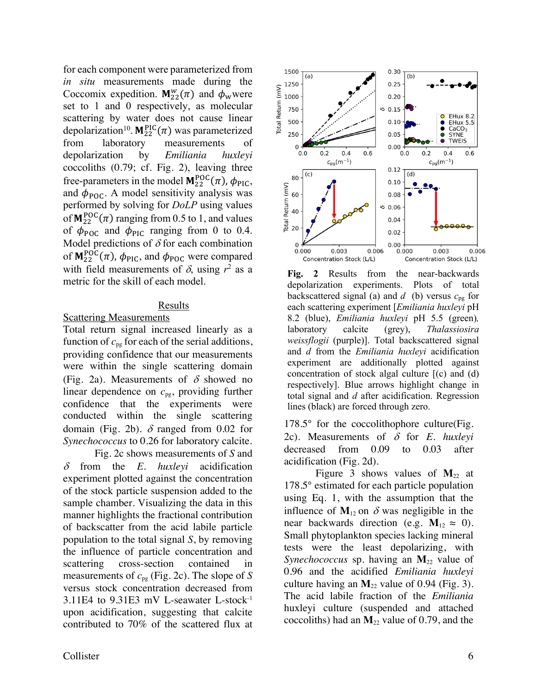for each component were parameterized from *in situ* measurements made during the Coccomix expedition.  $M_{22}^w(\pi)$  and  $\phi_w$  were set to 1 and 0 respectively, as molecular scattering by water does not cause linear depolarization<sup>10</sup>.  $M_{22}^{PIC}(\pi)$  was parameterized from laboratory measurements depolarization by *Emiliania huxleyi* coccoliths (0.79; cf. Fig. 2), leaving three free-parameters in the model  $M_{22}^{POC}(\pi)$ ,  $\phi_{PIC}$ , and  $\phi_{\text{POC}}$ . A model sensitivity analysis was performed by solving for *DoLP* using values of  $M_{22}^{POC}(\pi)$  ranging from 0.5 to 1, and values of  $\phi_{\text{POC}}$  and  $\phi_{\text{PIC}}$  ranging from 0 to 0.4. Model predictions of  $\delta$  for each combination of  $M_{22}^{POC}(\pi)$ ,  $\phi_{PIC}$ , and  $\phi_{POC}$  were compared with field measurements of  $\delta$ , using  $r^2$  as a metric for the skill of each model.

### Results

### **Scattering Measurements**

Total return signal increased linearly as a function of  $c_{pg}$  for each of the serial additions, providing confidence that our measurements were within the single scattering domain (Fig. 2a). Measurements of  $\delta$  showed no linear dependence on *c*pg, providing further confidence that the experiments were conducted within the single scattering domain (Fig. 2b).  $\delta$  ranged from 0.02 for *Synechococcus* to 0.26 for laboratory calcite.

Fig. 2c shows measurements of *S* and  $\delta$  from the *E. huxlevi* acidification experiment plotted against the concentration of the stock particle suspension added to the sample chamber. Visualizing the data in this manner highlights the fractional contribution of backscatter from the acid labile particle population to the total signal *S*, by removing the influence of particle concentration and scattering cross-section contained in measurements of *c*pg (Fig. 2c). The slope of *S* versus stock concentration decreased from 3.11E4 to 9.31E3 mV L-seawater L-stock-1 upon acidification, suggesting that calcite contributed to 70% of the scattered flux at



**Fig. 2** Results from the near-backwards depolarization experiments. Plots of total backscattered signal (a) and  $d$  (b) versus  $c_{pg}$  for each scattering experiment [*Emiliania huxleyi* pH 8.2 (blue), *Emiliania huxleyi* pH 5.5 (green)*,*  laboratory calcite (grey), *Thalassiosira weissflogii* (purple)]. Total backscattered signal and *d* from the *Emiliania huxleyi* acidification experiment are additionally plotted against concentration of stock algal culture [(c) and (d) respectively]. Blue arrows highlight change in total signal and *d* after acidification. Regression lines (black) are forced through zero.

178.5° for the coccolithophore culture(Fig. 2c). Measurements of  $\delta$  for *E. huxleyi* decreased from 0.09 to 0.03 after acidification (Fig. 2d).

Figure 3 shows values of  $M_{22}$  at 178.5° estimated for each particle population using Eq. 1, with the assumption that the influence of  $M_{12}$  on  $\delta$  was negligible in the near backwards direction (e.g.  $M_{12} \approx 0$ ). Small phytoplankton species lacking mineral tests were the least depolarizing, with *Synechococcus* sp. having an  $M_{22}$  value of 0.96 and the acidified *Emiliania huxleyi* culture having an  $M_{22}$  value of 0.94 (Fig. 3). The acid labile fraction of the *Emiliania*  huxleyi culture (suspended and attached coccoliths) had an  $M_{22}$  value of 0.79, and the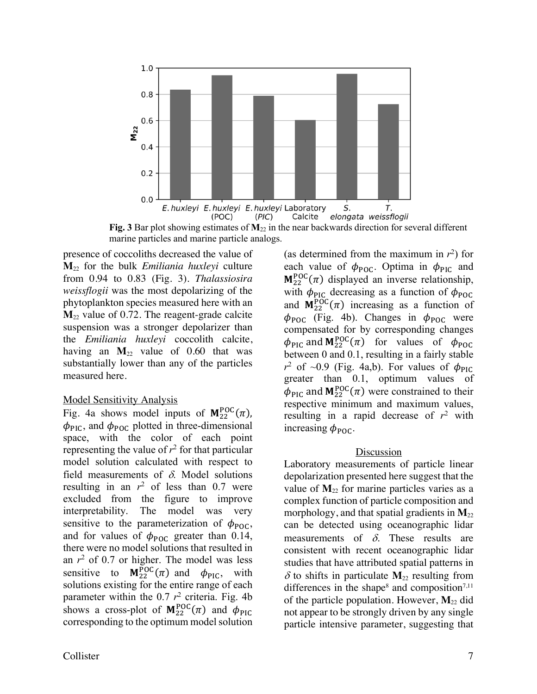

**Fig. 3** Bar plot showing estimates of  $M_{22}$  in the near backwards direction for several different marine particles and marine particle analogs.

presence of coccoliths decreased the value of **M**<sup>22</sup> for the bulk *Emiliania huxleyi* culture from 0.94 to 0.83 (Fig. 3). *Thalassiosira weissflogii* was the most depolarizing of the phytoplankton species measured here with an  $M<sub>22</sub>$  value of 0.72. The reagent-grade calcite suspension was a stronger depolarizer than the *Emiliania huxleyi* coccolith calcite, having an  $M_{22}$  value of 0.60 that was substantially lower than any of the particles measured here.

#### Model Sensitivity Analysis

Fig. 4a shows model inputs of  $M_{22}^{POC}(\pi)$ ,  $\phi_{\text{PIC}}$ , and  $\phi_{\text{POC}}$  plotted in three-dimensional space, with the color of each point representing the value of  $r^2$  for that particular model solution calculated with respect to field measurements of  $\delta$ . Model solutions resulting in an  $r^2$  of less than 0.7 were excluded from the figure to improve interpretability. The model was very sensitive to the parameterization of  $\phi_{\text{POC}}$ , and for values of  $\phi_{\text{POC}}$  greater than 0.14, there were no model solutions that resulted in an  $r^2$  of 0.7 or higher. The model was less sensitive to  $M_{22}^{POC}(\pi)$  and  $\phi_{PIC}$ , with solutions existing for the entire range of each parameter within the  $0.7 r^2$  criteria. Fig. 4b shows a cross-plot of  $M_{22}^{POC}(\pi)$  and  $\phi_{PIC}$ corresponding to the optimum model solution

(as determined from the maximum in  $r^2$ ) for each value of  $\phi_{\text{POC}}$ . Optima in  $\phi_{\text{PIC}}$  and  $M_{22}^{POC}(\pi)$  displayed an inverse relationship, with  $\phi_{\text{PIC}}$  decreasing as a function of  $\phi_{\text{POC}}$ and  $M_{22}^{POC}(\pi)$  increasing as a function of  $\phi_{\text{POC}}$  (Fig. 4b). Changes in  $\phi_{\text{POC}}$  were compensated for by corresponding changes  $\phi_{\text{PIC}}$  and  $M_{22}^{\text{POC}}(\pi)$  for values of  $\phi_{\text{POC}}$ between 0 and 0.1, resulting in a fairly stable  $r^2$  of ~0.9 (Fig. 4a,b). For values of  $\phi_{\text{PIC}}$ greater than 0.1, optimum values of  $\phi_{\text{PIC}}$  and  $M_{22}^{\text{POC}}(\pi)$  were constrained to their respective minimum and maximum values, resulting in a rapid decrease of  $r^2$  with increasing  $\phi_{\text{POC}}$ .

#### Discussion

Laboratory measurements of particle linear depolarization presented here suggest that the value of  $M_{22}$  for marine particles varies as a complex function of particle composition and morphology, and that spatial gradients in  $M_{22}$ can be detected using oceanographic lidar measurements of  $\delta$ . These results are consistent with recent oceanographic lidar studies that have attributed spatial patterns in  $\delta$  to shifts in particulate  $M_{22}$  resulting from differences in the shape<sup>8</sup> and composition<sup>7,11</sup> of the particle population. However,  $M_{22}$  did not appear to be strongly driven by any single particle intensive parameter, suggesting that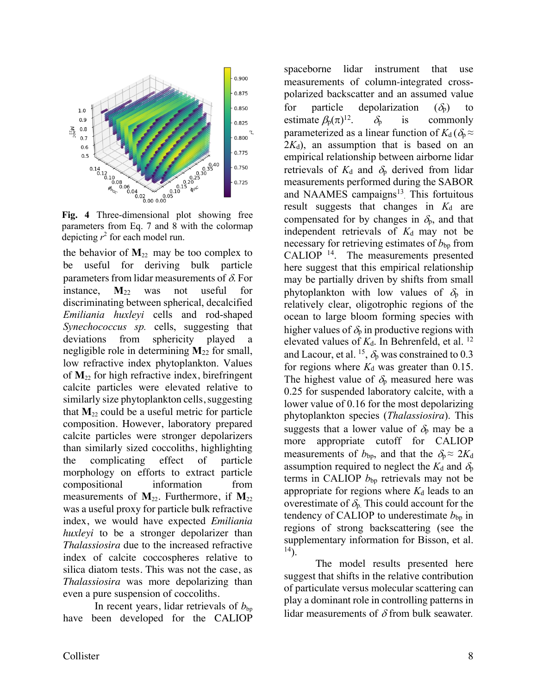

**Fig. 4** Three-dimensional plot showing free parameters from Eq. 7 and 8 with the colormap depicting  $r^2$  for each model run.

the behavior of  $M_{22}$  may be too complex to be useful for deriving bulk particle parameters from lidar measurements of  $\delta$ . For instance, **M**<sup>22</sup> was not useful for discriminating between spherical, decalcified *Emiliania huxleyi* cells and rod-shaped *Synechococcus sp.* cells, suggesting that deviations from sphericity played a negligible role in determining **M**<sup>22</sup> for small, low refractive index phytoplankton. Values of **M**<sup>22</sup> for high refractive index, birefringent calcite particles were elevated relative to similarly size phytoplankton cells, suggesting that  $M_{22}$  could be a useful metric for particle composition. However, laboratory prepared calcite particles were stronger depolarizers than similarly sized coccoliths, highlighting the complicating effect of particle morphology on efforts to extract particle compositional information from measurements of  $M_{22}$ . Furthermore, if  $M_{22}$ was a useful proxy for particle bulk refractive index, we would have expected *Emiliania huxleyi* to be a stronger depolarizer than *Thalassiosira* due to the increased refractive index of calcite coccospheres relative to silica diatom tests. This was not the case, as *Thalassiosira* was more depolarizing than even a pure suspension of coccoliths.

In recent years, lidar retrievals of  $b_{\text{bp}}$ have been developed for the CALIOP

spaceborne lidar instrument that use measurements of column-integrated crosspolarized backscatter and an assumed value for particle depolarization  $(\delta_p)$  to estimate  $\beta_p(\pi)^{12}$ .  $\delta_{p}$  is commonly parameterized as a linear function of  $K_d$  ( $\delta_{p} \approx$  $2K_d$ ), an assumption that is based on an empirical relationship between airborne lidar retrievals of  $K_d$  and  $\delta_p$  derived from lidar measurements performed during the SABOR and NAAMES campaigns $13$ . This fortuitous result suggests that changes in  $K_d$  are compensated for by changes in  $\delta_{p}$ , and that independent retrievals of  $K_d$  may not be necessary for retrieving estimates of  $b_{bp}$  from CALIOP<sup>14</sup>. The measurements presented here suggest that this empirical relationship may be partially driven by shifts from small phytoplankton with low values of  $\delta_p$  in relatively clear, oligotrophic regions of the ocean to large bloom forming species with higher values of  $\delta_p$  in productive regions with elevated values of  $K_d$ . In Behrenfeld, et al. <sup>12</sup> and Lacour, et al. <sup>15</sup>,  $\delta_p$  was constrained to 0.3 for regions where  $K_d$  was greater than 0.15. The highest value of  $\delta_p$  measured here was 0.25 for suspended laboratory calcite, with a lower value of 0.16 for the most depolarizing phytoplankton species (*Thalassiosira*). This suggests that a lower value of  $\delta_p$  may be a more appropriate cutoff for CALIOP measurements of  $b_{bp}$ , and that the  $\delta_p \approx 2K_d$ assumption required to neglect the  $K_d$  and  $\delta_p$ terms in CALIOP  $b_{bp}$  retrievals may not be appropriate for regions where  $K_d$  leads to an overestimate of  $\delta_{p}$ . This could account for the tendency of CALIOP to underestimate  $b_{bp}$  in regions of strong backscattering (see the supplementary information for Bisson, et al.  $^{14}$ ).

The model results presented here suggest that shifts in the relative contribution of particulate versus molecular scattering can play a dominant role in controlling patterns in lidar measurements of  $\delta$  from bulk seawater.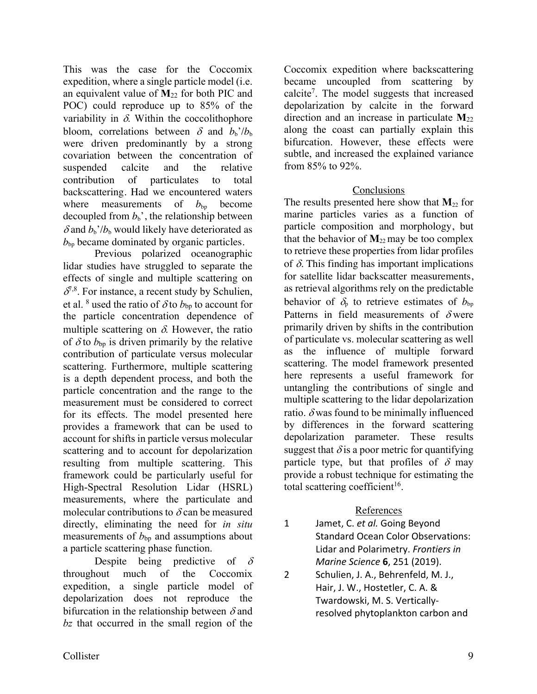This was the case for the Coccomix expedition, where a single particle model (i.e. an equivalent value of  $M_{22}$  for both PIC and POC) could reproduce up to 85% of the variability in  $\delta$ . Within the coccolithophore bloom, correlations between  $\delta$  and  $b_h$ '/ $b_b$ were driven predominantly by a strong covariation between the concentration of suspended calcite and the relative contribution of particulates to total backscattering. Had we encountered waters where measurements of  $b_{\text{bp}}$  become decoupled from  $b<sub>b</sub>$ <sup>'</sup>, the relationship between  $\delta$  and  $b_b'/b_b$  would likely have deteriorated as  $b_{\rm bo}$  became dominated by organic particles.

Previous polarized oceanographic lidar studies have struggled to separate the effects of single and multiple scattering on  $\delta^{7,8}$ . For instance, a recent study by Schulien, et al. <sup>8</sup> used the ratio of  $\delta$  to *b*<sub>bp</sub> to account for the particle concentration dependence of multiple scattering on  $\delta$ . However, the ratio of  $\delta$  to  $b_{bp}$  is driven primarily by the relative contribution of particulate versus molecular scattering. Furthermore, multiple scattering is a depth dependent process, and both the particle concentration and the range to the measurement must be considered to correct for its effects. The model presented here provides a framework that can be used to account for shifts in particle versus molecular scattering and to account for depolarization resulting from multiple scattering. This framework could be particularly useful for High-Spectral Resolution Lidar (HSRL) measurements, where the particulate and molecular contributions to  $\delta$  can be measured directly, eliminating the need for *in situ* measurements of  $b_{bp}$  and assumptions about a particle scattering phase function.

Despite being predictive of  $\delta$ throughout much of the Coccomix expedition, a single particle model of depolarization does not reproduce the bifurcation in the relationship between  $\delta$  and *bz* that occurred in the small region of the

Coccomix expedition where backscattering became uncoupled from scattering by calcite7 . The model suggests that increased depolarization by calcite in the forward direction and an increase in particulate **M**<sup>22</sup> along the coast can partially explain this bifurcation. However, these effects were subtle, and increased the explained variance from 85% to 92%.

## **Conclusions**

The results presented here show that  $M_{22}$  for marine particles varies as a function of particle composition and morphology, but that the behavior of  $M_{22}$  may be too complex to retrieve these properties from lidar profiles of  $\delta$ . This finding has important implications for satellite lidar backscatter measurements, as retrieval algorithms rely on the predictable behavior of  $\delta_{p}$  to retrieve estimates of  $b_{bp}$ Patterns in field measurements of  $\delta$  were primarily driven by shifts in the contribution of particulate vs. molecular scattering as well as the influence of multiple forward scattering. The model framework presented here represents a useful framework for untangling the contributions of single and multiple scattering to the lidar depolarization ratio.  $\delta$  was found to be minimally influenced by differences in the forward scattering depolarization parameter. These results suggest that  $\delta$  is a poor metric for quantifying particle type, but that profiles of  $\delta$  may provide a robust technique for estimating the total scattering coefficient $16$ .

## References

- 1 Jamet, C. *et al.* Going Beyond Standard Ocean Color Observations: Lidar and Polarimetry. *Frontiers in Marine Science* **6**, 251 (2019).
- 2 Schulien, J. A., Behrenfeld, M. J., Hair, J. W., Hostetler, C. A. & Twardowski, M. S. Verticallyresolved phytoplankton carbon and